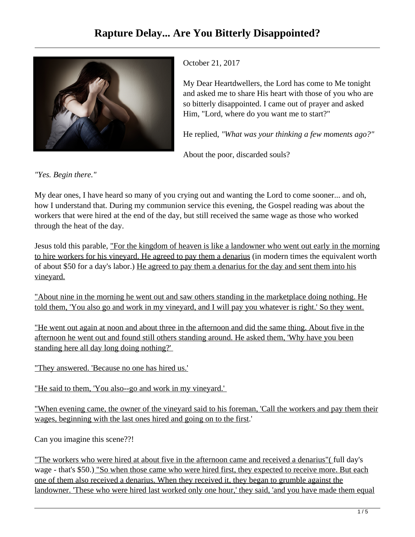

October 21, 2017

My Dear Heartdwellers, the Lord has come to Me tonight and asked me to share His heart with those of you who are so bitterly disappointed. I came out of prayer and asked Him, "Lord, where do you want me to start?"

He replied, *"What was your thinking a few moments ago?"*

About the poor, discarded souls?

*"Yes. Begin there."*

My dear ones, I have heard so many of you crying out and wanting the Lord to come sooner... and oh, how I understand that. During my communion service this evening, the Gospel reading was about the workers that were hired at the end of the day, but still received the same wage as those who worked through the heat of the day.

Jesus told this parable, "For the kingdom of heaven is like a landowner who went out early in the morning to hire workers for his vineyard. He agreed to pay them a denarius (in modern times the equivalent worth of about \$50 for a day's labor.) He agreed to pay them a denarius for the day and sent them into his vineyard.

"About nine in the morning he went out and saw others standing in the marketplace doing nothing. He told them, 'You also go and work in my vineyard, and I will pay you whatever is right.' So they went.

"He went out again at noon and about three in the afternoon and did the same thing. About five in the afternoon he went out and found still others standing around. He asked them, 'Why have you been standing here all day long doing nothing?'

"They answered. 'Because no one has hired us.'

"He said to them, 'You also--go and work in my vineyard.'

"When evening came, the owner of the vineyard said to his foreman, 'Call the workers and pay them their wages, beginning with the last ones hired and going on to the first.'

Can you imagine this scene??!

"The workers who were hired at about five in the afternoon came and received a denarius"( full day's wage - that's \$50.) "So when those came who were hired first, they expected to receive more. But each one of them also received a denarius. When they received it, they began to grumble against the landowner. 'These who were hired last worked only one hour,' they said, 'and you have made them equal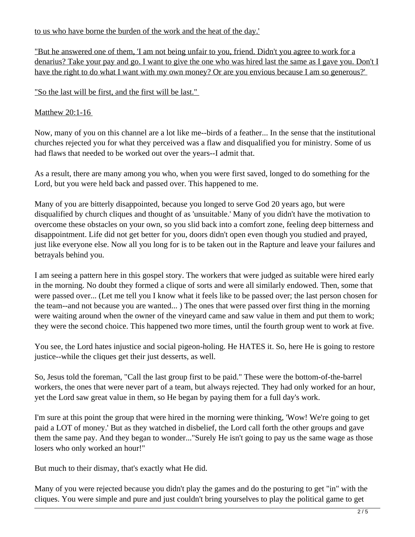to us who have borne the burden of the work and the heat of the day.'

"But he answered one of them, 'I am not being unfair to you, friend. Didn't you agree to work for a denarius? Take your pay and go. I want to give the one who was hired last the same as I gave you. Don't I have the right to do what I want with my own money? Or are you envious because I am so generous?'

"So the last will be first, and the first will be last."

## Matthew 20:1-16

Now, many of you on this channel are a lot like me--birds of a feather... In the sense that the institutional churches rejected you for what they perceived was a flaw and disqualified you for ministry. Some of us had flaws that needed to be worked out over the years--I admit that.

As a result, there are many among you who, when you were first saved, longed to do something for the Lord, but you were held back and passed over. This happened to me.

Many of you are bitterly disappointed, because you longed to serve God 20 years ago, but were disqualified by church cliques and thought of as 'unsuitable.' Many of you didn't have the motivation to overcome these obstacles on your own, so you slid back into a comfort zone, feeling deep bitterness and disappointment. Life did not get better for you, doors didn't open even though you studied and prayed, just like everyone else. Now all you long for is to be taken out in the Rapture and leave your failures and betrayals behind you.

I am seeing a pattern here in this gospel story. The workers that were judged as suitable were hired early in the morning. No doubt they formed a clique of sorts and were all similarly endowed. Then, some that were passed over... (Let me tell you I know what it feels like to be passed over; the last person chosen for the team--and not because you are wanted... ) The ones that were passed over first thing in the morning were waiting around when the owner of the vineyard came and saw value in them and put them to work; they were the second choice. This happened two more times, until the fourth group went to work at five.

You see, the Lord hates injustice and social pigeon-holing. He HATES it. So, here He is going to restore justice--while the cliques get their just desserts, as well.

So, Jesus told the foreman, "Call the last group first to be paid." These were the bottom-of-the-barrel workers, the ones that were never part of a team, but always rejected. They had only worked for an hour, yet the Lord saw great value in them, so He began by paying them for a full day's work.

I'm sure at this point the group that were hired in the morning were thinking, 'Wow! We're going to get paid a LOT of money.' But as they watched in disbelief, the Lord call forth the other groups and gave them the same pay. And they began to wonder..."Surely He isn't going to pay us the same wage as those losers who only worked an hour!"

But much to their dismay, that's exactly what He did.

Many of you were rejected because you didn't play the games and do the posturing to get "in" with the cliques. You were simple and pure and just couldn't bring yourselves to play the political game to get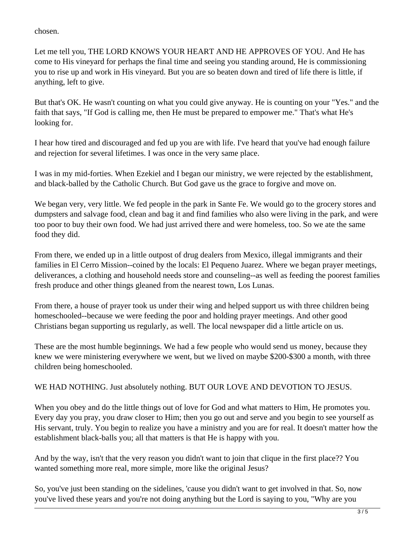chosen.

Let me tell you, THE LORD KNOWS YOUR HEART AND HE APPROVES OF YOU. And He has come to His vineyard for perhaps the final time and seeing you standing around, He is commissioning you to rise up and work in His vineyard. But you are so beaten down and tired of life there is little, if anything, left to give.

But that's OK. He wasn't counting on what you could give anyway. He is counting on your "Yes." and the faith that says, "If God is calling me, then He must be prepared to empower me." That's what He's looking for.

I hear how tired and discouraged and fed up you are with life. I've heard that you've had enough failure and rejection for several lifetimes. I was once in the very same place.

I was in my mid-forties. When Ezekiel and I began our ministry, we were rejected by the establishment, and black-balled by the Catholic Church. But God gave us the grace to forgive and move on.

We began very, very little. We fed people in the park in Sante Fe. We would go to the grocery stores and dumpsters and salvage food, clean and bag it and find families who also were living in the park, and were too poor to buy their own food. We had just arrived there and were homeless, too. So we ate the same food they did.

From there, we ended up in a little outpost of drug dealers from Mexico, illegal immigrants and their families in El Cerro Mission--coined by the locals: El Pequeno Juarez. Where we began prayer meetings, deliverances, a clothing and household needs store and counseling--as well as feeding the poorest families fresh produce and other things gleaned from the nearest town, Los Lunas.

From there, a house of prayer took us under their wing and helped support us with three children being homeschooled--because we were feeding the poor and holding prayer meetings. And other good Christians began supporting us regularly, as well. The local newspaper did a little article on us.

These are the most humble beginnings. We had a few people who would send us money, because they knew we were ministering everywhere we went, but we lived on maybe \$200-\$300 a month, with three children being homeschooled.

WE HAD NOTHING. Just absolutely nothing. BUT OUR LOVE AND DEVOTION TO JESUS.

When you obey and do the little things out of love for God and what matters to Him, He promotes you. Every day you pray, you draw closer to Him; then you go out and serve and you begin to see yourself as His servant, truly. You begin to realize you have a ministry and you are for real. It doesn't matter how the establishment black-balls you; all that matters is that He is happy with you.

And by the way, isn't that the very reason you didn't want to join that clique in the first place?? You wanted something more real, more simple, more like the original Jesus?

So, you've just been standing on the sidelines, 'cause you didn't want to get involved in that. So, now you've lived these years and you're not doing anything but the Lord is saying to you, "Why are you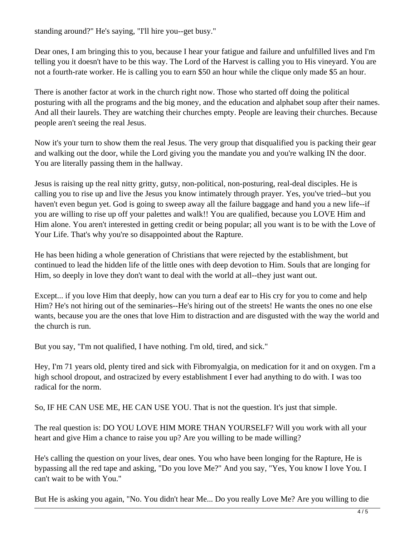standing around?" He's saying, "I'll hire you--get busy."

Dear ones, I am bringing this to you, because I hear your fatigue and failure and unfulfilled lives and I'm telling you it doesn't have to be this way. The Lord of the Harvest is calling you to His vineyard. You are not a fourth-rate worker. He is calling you to earn \$50 an hour while the clique only made \$5 an hour.

There is another factor at work in the church right now. Those who started off doing the political posturing with all the programs and the big money, and the education and alphabet soup after their names. And all their laurels. They are watching their churches empty. People are leaving their churches. Because people aren't seeing the real Jesus.

Now it's your turn to show them the real Jesus. The very group that disqualified you is packing their gear and walking out the door, while the Lord giving you the mandate you and you're walking IN the door. You are literally passing them in the hallway.

Jesus is raising up the real nitty gritty, gutsy, non-political, non-posturing, real-deal disciples. He is calling you to rise up and live the Jesus you know intimately through prayer. Yes, you've tried--but you haven't even begun yet. God is going to sweep away all the failure baggage and hand you a new life--if you are willing to rise up off your palettes and walk!! You are qualified, because you LOVE Him and Him alone. You aren't interested in getting credit or being popular; all you want is to be with the Love of Your Life. That's why you're so disappointed about the Rapture.

He has been hiding a whole generation of Christians that were rejected by the establishment, but continued to lead the hidden life of the little ones with deep devotion to Him. Souls that are longing for Him, so deeply in love they don't want to deal with the world at all--they just want out.

Except... if you love Him that deeply, how can you turn a deaf ear to His cry for you to come and help Him? He's not hiring out of the seminaries--He's hiring out of the streets! He wants the ones no one else wants, because you are the ones that love Him to distraction and are disgusted with the way the world and the church is run.

But you say, "I'm not qualified, I have nothing. I'm old, tired, and sick."

Hey, I'm 71 years old, plenty tired and sick with Fibromyalgia, on medication for it and on oxygen. I'm a high school dropout, and ostracized by every establishment I ever had anything to do with. I was too radical for the norm.

So, IF HE CAN USE ME, HE CAN USE YOU. That is not the question. It's just that simple.

The real question is: DO YOU LOVE HIM MORE THAN YOURSELF? Will you work with all your heart and give Him a chance to raise you up? Are you willing to be made willing?

He's calling the question on your lives, dear ones. You who have been longing for the Rapture, He is bypassing all the red tape and asking, "Do you love Me?" And you say, "Yes, You know I love You. I can't wait to be with You."

But He is asking you again, "No. You didn't hear Me... Do you really Love Me? Are you willing to die